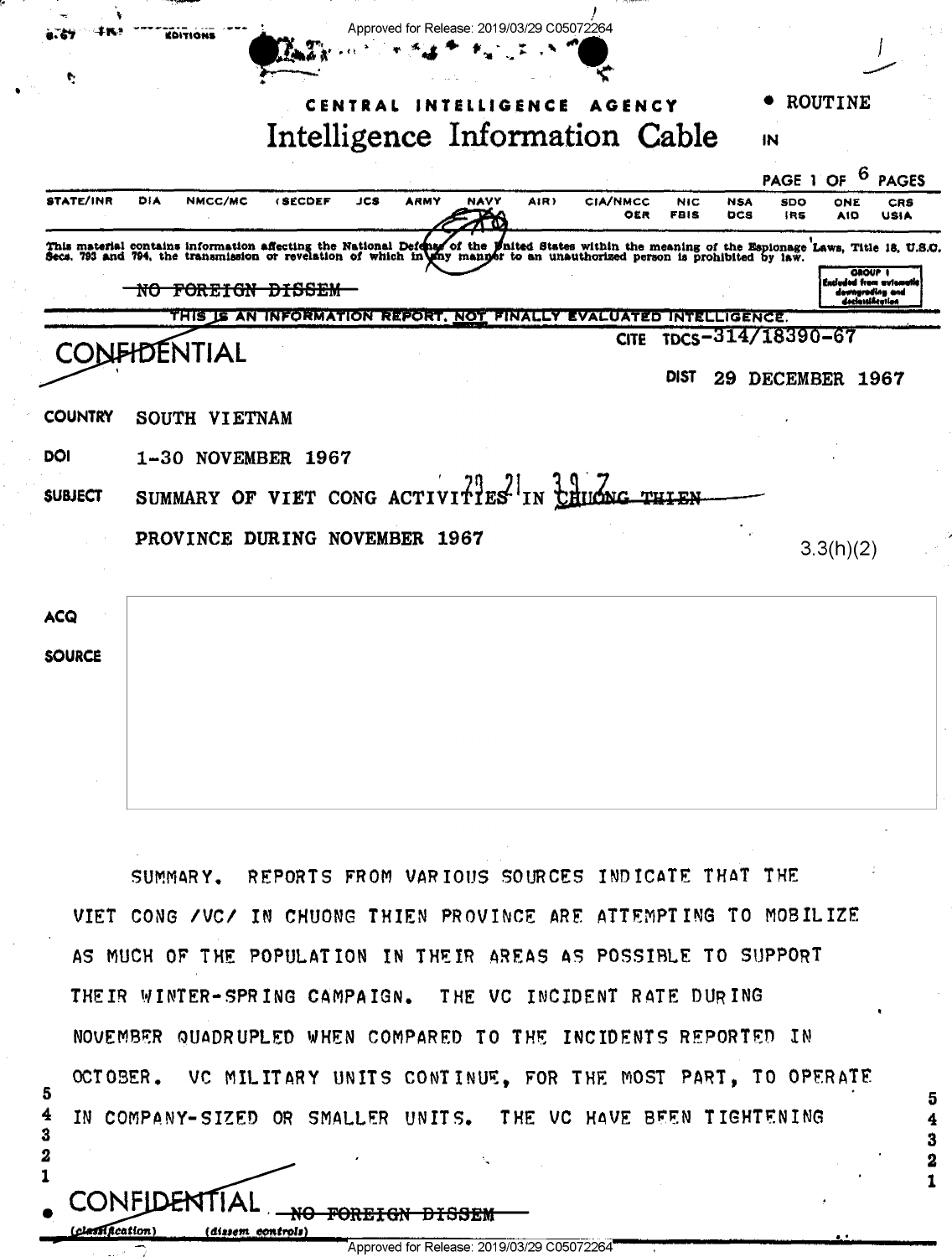| ъ                | EDITIONS                                                                                                                                                                                                                         |                                                                    | Approved for Release: 2019/03/29 C05072264 |      |          |                        |                           |                          |                   |                                 |                                     |
|------------------|----------------------------------------------------------------------------------------------------------------------------------------------------------------------------------------------------------------------------------|--------------------------------------------------------------------|--------------------------------------------|------|----------|------------------------|---------------------------|--------------------------|-------------------|---------------------------------|-------------------------------------|
| e                |                                                                                                                                                                                                                                  |                                                                    |                                            |      |          |                        |                           |                          |                   |                                 |                                     |
|                  |                                                                                                                                                                                                                                  |                                                                    | CENTRAL                                    |      | LLIGENCE | AGENCY                 |                           |                          |                   | ROUTINE                         |                                     |
|                  |                                                                                                                                                                                                                                  |                                                                    | Intelligence Information Cable             |      |          |                        |                           |                          | IN                |                                 |                                     |
|                  |                                                                                                                                                                                                                                  |                                                                    |                                            |      |          |                        |                           |                          | PAGE 1            | 6<br>OF                         | <b>PAGES</b>                        |
| <b>STATE/INR</b> | DIA<br>NMCC/MC                                                                                                                                                                                                                   | <b>(SECDEF</b>                                                     | JCS<br>ARMY                                | NAVY | AIR)     | <b>CIA/NMCC</b><br>OER | <b>NIC</b><br><b>FBIS</b> | <b>NSA</b><br><b>DCS</b> | SDO<br>IRS        | ONE<br>AIO                      | <b>CRS</b><br>USIA                  |
|                  | This material contains information affecting the National Defense of the United States within the meaning of the Espionage Laws, Title 18, U.S.O.<br>Secs. 793 and 794, the transmission or revelation of which in any manyer to |                                                                    |                                            |      |          |                        |                           |                          |                   |                                 |                                     |
|                  | NO FOREIGN DISSEM                                                                                                                                                                                                                |                                                                    |                                            |      |          |                        |                           |                          |                   | GROUP I<br>Encluded from automa | downgrading and<br>declassification |
|                  |                                                                                                                                                                                                                                  | THIS IS AN INFORMATION REPORT, NOT FINALLY EVALUATED INTELLIGENCE. |                                            |      |          |                        |                           |                          |                   |                                 |                                     |
|                  | DENTIAL                                                                                                                                                                                                                          |                                                                    |                                            |      |          | <b>CITE</b>            |                           |                          | TDCS-314/18390-67 |                                 |                                     |
|                  |                                                                                                                                                                                                                                  |                                                                    |                                            |      |          |                        | DIST                      | 29                       | DECEMBER 1967     |                                 |                                     |
| <b>COUNTRY</b>   | SOUTH VIETNAM                                                                                                                                                                                                                    |                                                                    |                                            |      |          |                        |                           |                          |                   |                                 |                                     |
| DOI              | 1-30 NOVEMBER 1967                                                                                                                                                                                                               |                                                                    |                                            |      |          |                        |                           |                          |                   |                                 |                                     |
| <b>SUBJECT</b>   | SUMMARY OF VIET CONG ACTIVITIES IN CHUCKG                                                                                                                                                                                        |                                                                    |                                            |      |          |                        | THIEN                     |                          |                   |                                 |                                     |
|                  | PROVINCE DURING NOVEMBER 1967                                                                                                                                                                                                    |                                                                    |                                            |      |          |                        |                           |                          |                   |                                 |                                     |
|                  |                                                                                                                                                                                                                                  |                                                                    |                                            |      |          |                        |                           |                          |                   | 3.3(h)(2)                       |                                     |
|                  |                                                                                                                                                                                                                                  |                                                                    |                                            |      |          |                        |                           |                          |                   |                                 |                                     |
| ACQ              |                                                                                                                                                                                                                                  |                                                                    |                                            |      |          |                        |                           |                          |                   |                                 |                                     |
| <b>SOURCE</b>    |                                                                                                                                                                                                                                  |                                                                    |                                            |      |          |                        |                           |                          |                   |                                 |                                     |
|                  |                                                                                                                                                                                                                                  |                                                                    |                                            |      |          |                        |                           |                          |                   |                                 |                                     |
|                  |                                                                                                                                                                                                                                  |                                                                    |                                            |      |          |                        |                           |                          |                   |                                 |                                     |
|                  |                                                                                                                                                                                                                                  |                                                                    |                                            |      |          |                        |                           |                          |                   |                                 |                                     |
|                  |                                                                                                                                                                                                                                  |                                                                    |                                            |      |          |                        |                           |                          |                   |                                 |                                     |
|                  |                                                                                                                                                                                                                                  |                                                                    |                                            |      |          |                        |                           |                          |                   |                                 |                                     |

SUMMARY. REPORTS FROM VARIOUS SOURCES INDICATE THAT THE VIET CONG / VC/ IN CHUONG THIEN PROVINCE ARE ATTEMPTING TO MOBILIZE AS MUCH OF THE POPULATION IN THEIR AREAS AS POSSIBLE TO SUPPORT THEIR WINTER-SPRING CAMPAIGN. THE VC INCIDENT RATE DURING NOVEMBER QUADRUPLED WHEN COMPARED TO THE INCIDENTS REPORTED IN OCTOBER. VC MILITARY UNITS CONTINUE, FOR THE MOST PART, TO OPERATE IN COMPANY-SIZED OR SMALLER UNITS. THE VC HAVE BEEN TIGHTENING

5

4

3

2

 $\mathbf{1}$ 

CONFIDENTIAI

i dissem

clessification)

5

 $\overline{\mathbf{4}}$ 

3

 $\mathbf{2}$ 

 $\mathbf{1}$ 

Approved for Release: 2019/03/29 C05072264

<del>FORF.IG</del>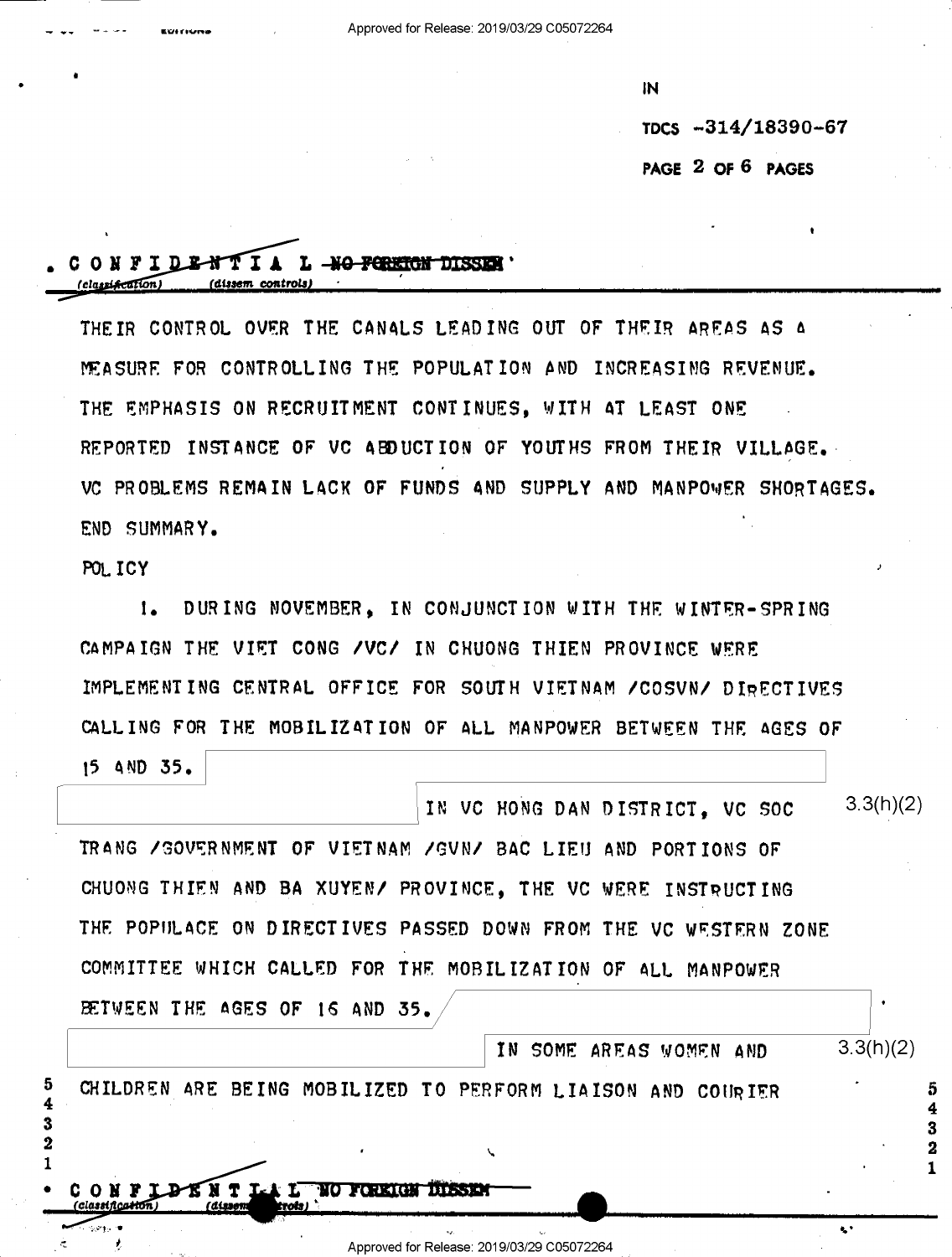Approved for Release: 2019/03/29 C05072264

IN.

TDCS -314/18390-67

ċ.

PAGE 2 OF 6 PAGES

## CONFIDENTIA L MO FORETON DISSEN

THEIR CONTROL OVER THE CANALS LEADING OUT OF THEIR AREAS AS A MEASURE FOR CONTROLLING THE POPULATION AND INCREASING REVENUE. THE EMPHASIS ON RECRUITMENT CONTINUES. WITH AT LEAST ONE REPORTED INSTANCE OF VC ABDUCTION OF YOUTHS FROM THEIR VILLAGE. VC PROBLEMS REMAIN LACK OF FUNDS AND SUPPLY AND MANPOWER SHORTAGES. END SUMMARY.

POLICY

 $1.$ DURING NOVEMBER. IN CONJUNCTION WITH THE WINTER-SPRING CAMPAIGN THE VIET CONG /VC/ IN CHUONG THIEN PROVINCE WERE IMPLEMENTING CENTRAL OFFICE FOR SOUTH VIETNAM /COSVN/ DIRECTIVES CALLING FOR THE MOBILIZATION OF ALL MANPOWER BETWEEN THE AGES OF

15 AND 35.

| IN VC HONG DAN DISTRICT. VC SOC                                 | 3.3(h)(2) |
|-----------------------------------------------------------------|-----------|
| TRANG / GOVERNMENT OF VIETNAM / GVN/ BAC LIEU AND PORTIONS OF   |           |
| CHUONG THIEN AND BA XUYEN/ PROVINCE, THE VC WERE INSTRUCTING    |           |
| THE POPULACE ON DIRECTIVES PASSED DOWN FROM THE VC WESTERN ZONE |           |
| COMMITTEE WHICH CALLED FOR THE MOBILIZATION OF ALL MANPOWER     |           |
| BETWEEN THE AGES OF 16 AND 35.                                  | ٠         |
| IN SOME AREAS WOMEN AND                                         | 3.3(h)(2) |
| CHILDREN ARE BEING MOBILIZED TO PERFORM LIAISON AND COURIER     |           |
|                                                                 |           |
| ╰                                                               |           |

Approved for Release: 2019/03/29 C05072264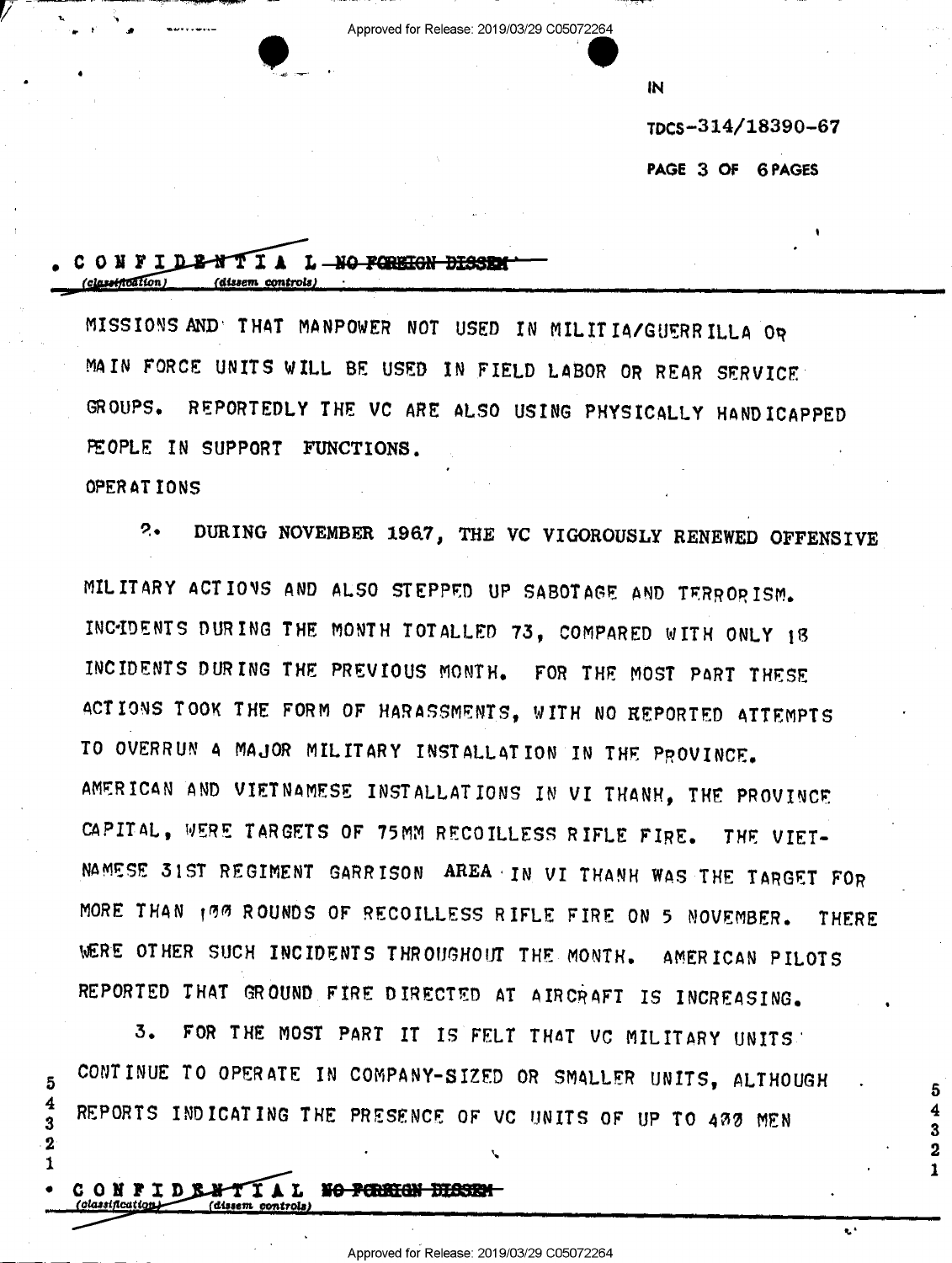Approved for Release: 2019/03/29 C05072264

IN

TDCS-314/18390-67

PAGE 3 OF 6 PAGES

5

3

 $\mathbf{2}$ 

### CONFIDENTIA L NO FORRIGN DISSED  $(clasation)$ (dissem controls

MISSIONS AND THAT MANPOWER NOT USED IN MILITIA/GUERRILLA OR MAIN FORCE UNITS WILL BE USED IN FIELD LABOR OR REAR SERVICE GROUPS. REPORTEDLY THE VC ARE ALSO USING PHYSICALLY HANDICAPPED PEOPLE IN SUPPORT FUNCTIONS.

OPERATIONS

5

4

3

 $\overline{\mathbf{2}}$ 

1

 $2.4$ DURING NOVEMBER 1967, THE VC VIGOROUSLY RENEWED OFFENSIVE MILITARY ACTIONS AND ALSO STEPPED UP SABOTAGE AND TERRORISM. INCIDENTS DURING THE MONTH TOTALLED 73, COMPARED WITH ONLY 18 INCIDENTS DURING THE PREVIOUS MONTH. FOR THE MOST PART THESE ACTIONS TOOK THE FORM OF HARASSMENTS, WITH NO REPORTED ATTEMPTS TO OVERRUN A MAJOR MILITARY INSTALLATION IN THE PROVINCE. AMERICAN AND VIETNAMESE INSTALLATIONS IN VI THANH, THE PROVINCE CAPITAL, WERE TARGETS OF 75MM RECOILLESS RIFLE FIRE. THE VIET-NAMESE 31ST REGIMENT GARRISON AREA IN VI THANH WAS THE TARGET FOR MORE THAN 199 ROUNDS OF RECOILLESS RIFLE FIRE ON 5 NOVEMBER. **THERE** WERE OTHER SUCH INCIDENTS THROUGHOUT THE MONTH. AMERICAN PILOTS REPORTED THAT GROUND FIRE DIRECTED AT AIRCRAFT IS INCREASING.

FOR THE MOST PART IT IS FELT THAT VC MILITARY UNITS.  $3.$ CONTINUE TO OPERATE IN COMPANY-SIZED OR SMALLER UNITS, ALTHOUGH REPORTS INDICATING THE PRESENCE OF VC UNITS OF UP TO 433 MEN

CONFIDENTIAL NO PERSON DISSEN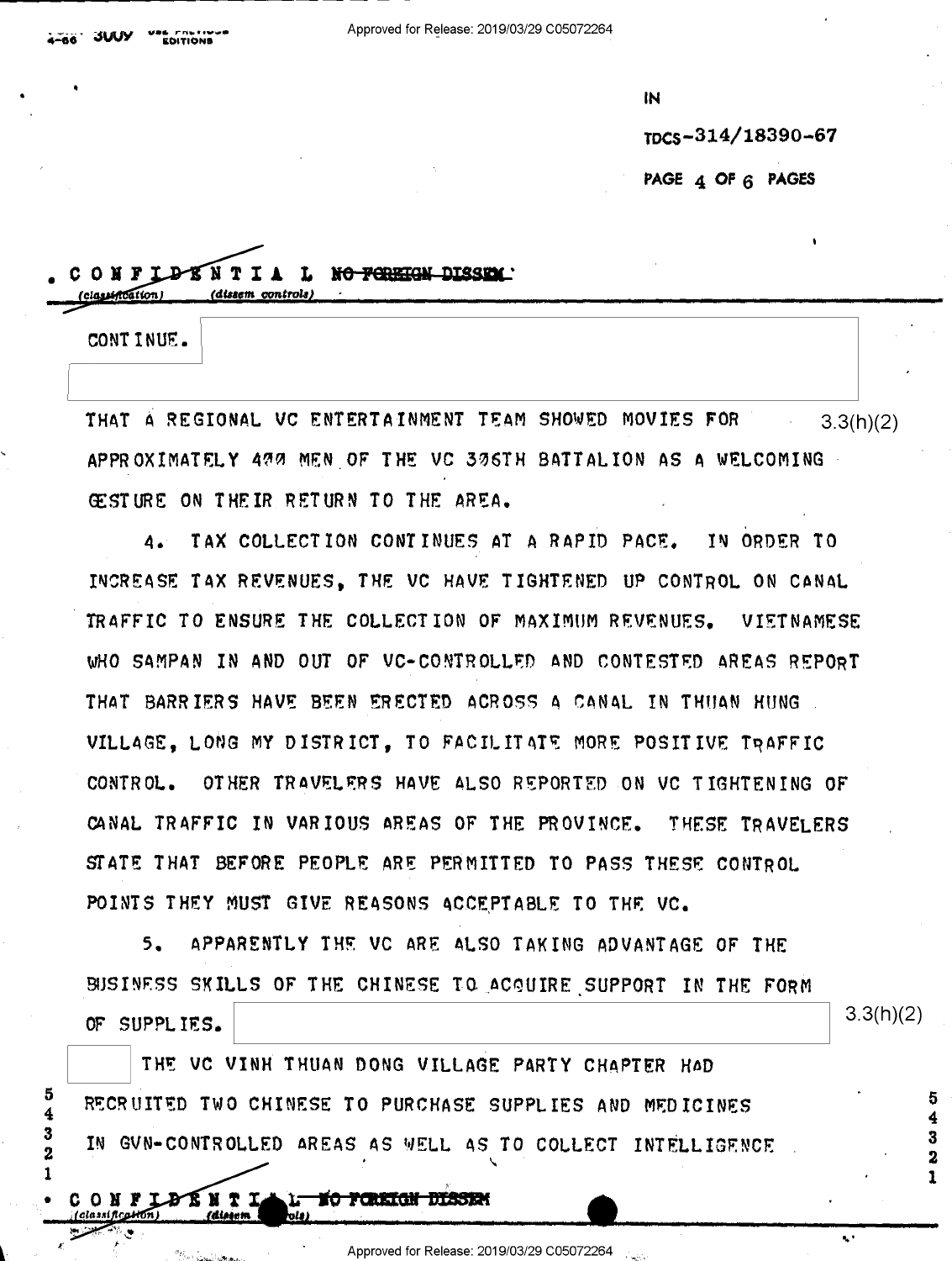IN.

TDCS-314/18390-67

PAGE 4 OF 6 PAGES

# ONFLATNTIA L NO FOREIGN DISSEN

CONT INUE.

classistration

5

4 3

2  $\mathbf{I}$ 

THAT A REGIONAL VC ENTERTAINMENT TEAM SHOWED MOVIES FOR  $3.3(h)(2)$ APPROXIMATELY 477 MEN OF THE VC 376TH BATTALION AS A WELCOMING GESTURE ON THEIR RETURN TO THE AREA.

TAX COLLECTION CONTINUES AT A RAPID PACE. IN ORDER TO 4. INCREASE TAX REVENUES. THE VC HAVE TIGHTENED UP CONTROL ON CANAL TRAFFIC TO ENSURE THE COLLECTION OF MAXIMUM REVENUES. VIETNAMESE WHO SAMPAN IN AND OUT OF VC-CONTROLLED AND CONTESTED AREAS REPORT THAT BARRIERS HAVE BEEN ERECTED ACROSS A CANAL IN THUAN HUNG VILLAGE, LONG MY DISTRICT, TO FACILITATE MORE POSITIVE TRAFFIC CONTROL. OTHER TRAVELERS HAVE ALSO REPORTED ON VC TIGHTENING OF CANAL TRAFFIC IN VARIOUS AREAS OF THE PROVINCE. THESE TRAVELERS STATE THAT BEFORE PEOPLE ARE PERMITTED TO PASS THESE CONTROL POINTS THEY MUST GIVE REASONS ACCEPTABLE TO THE VC.

 $5.$ APPARENTLY THE VC ARE ALSO TAKING ADVANTAGE OF THE BISINESS SKILLS OF THE CHINESE TO ACQUIRE SUPPORT IN THE FORM OF SUPPLIES.

 $3.3(h)(2)$ 

ų,

5

THE VC VINH THUAN DONG VILLAGE PARTY CHAPTER HAD RECRUITED TWO CHINESE TO PURCHASE SUPPLIES AND MEDICINES IN GVN-CONTROLLED AREAS AS WELL AS TO COLLECT INTELLIGENCE

C O N F LÐ R N T L l<del>- ng foretgn disse</del>n

Approved for Release: 2019/03/29 C05072264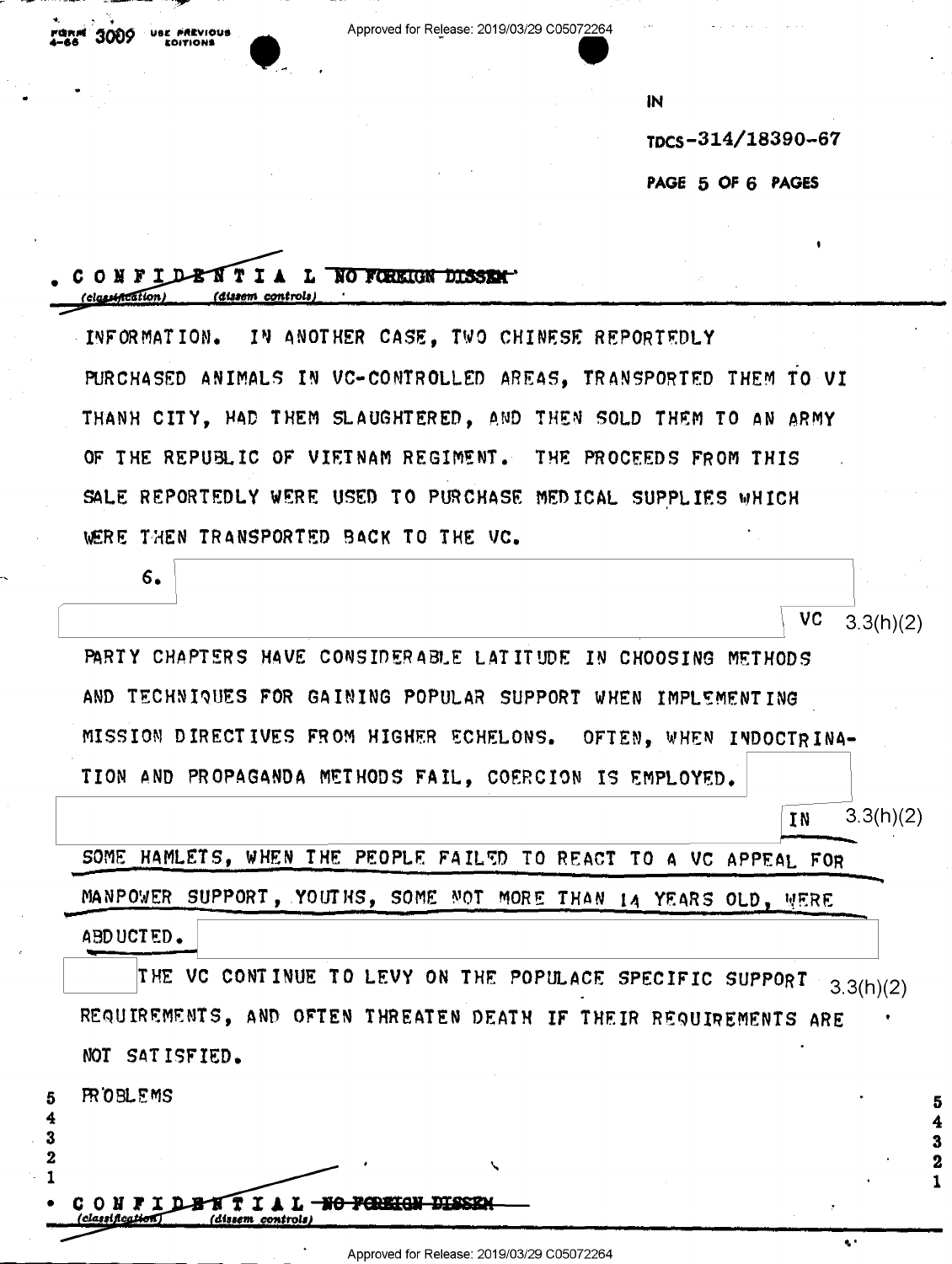Approved for Release: 2019/03/29 C05072264

**IN** 

TDCS-314/18390-67

PAGE 5 OF 6 PAGES

### ONFIDENTIA L NO FOREIGN DISSENT classification (dissem controls

IN ANOTHER CASE, TWO CHINESE REPORTEDLY INFORMATION. PURCHASED ANIMALS IN VC-CONTROLLED AREAS. TRANSPORTED THEM TO VI THANH CITY, HAD THEM SLAUGHTERED, AND THEN SOLD THEM TO AN ARMY OF THE REPUBLIC OF VIETNAM REGIMENT. THE PROCEEDS FROM THIS SALE REPORTEDLY WERE USED TO PURCHASE MEDICAL SUPPLIES WHICH WERE THEN TRANSPORTED BACK TO THE VC.

| 6.                                                               |                                    |
|------------------------------------------------------------------|------------------------------------|
|                                                                  | VC.<br>3.3(h)(2)                   |
| PARTY CHAPTERS HAVE CONSIDERABLE LATITUDE IN CHOOSING METHODS    |                                    |
| AND TECHNIQUES FOR GAINING POPULAR SUPPORT WHEN IMPLEMENTING     |                                    |
| MISSION DIRECTIVES FROM HIGHER ECHELONS. OFTEN, WHEN INDOCTRINA- |                                    |
| TION AND PROPAGANDA METHODS FAIL, COERCION IS EMPLOYED.          |                                    |
|                                                                  | $\sim$ $\sim$ $\sim$ $\sim$ $\sim$ |

IN  $3.3(h)(2)$ 

SOME HAMLETS, WHEN THE PEOPLE FAILED TO REACT TO A VC APPEAL FOR MANPOWER SUPPORT, YOUTHS, SOME NOT MORE THAN 14 YEARS OLD, WERE ABDUCTED.

THE VC CONTINUE TO LEVY ON THE POPULACE SPECIFIC SUPPORT  $3.3(h)(2)$ REQUIREMENTS, AND OFTEN THREATEN DEATH IF THEIR REQUIREMENTS ARE NOT SATISFIED.

**FROBLEMS** 

Б

3  $\overline{2}$ 

> **NTIAL HO** CONFID dissem controls

 $\mathbf{a}$  .

5

 $\mathbf{z}$